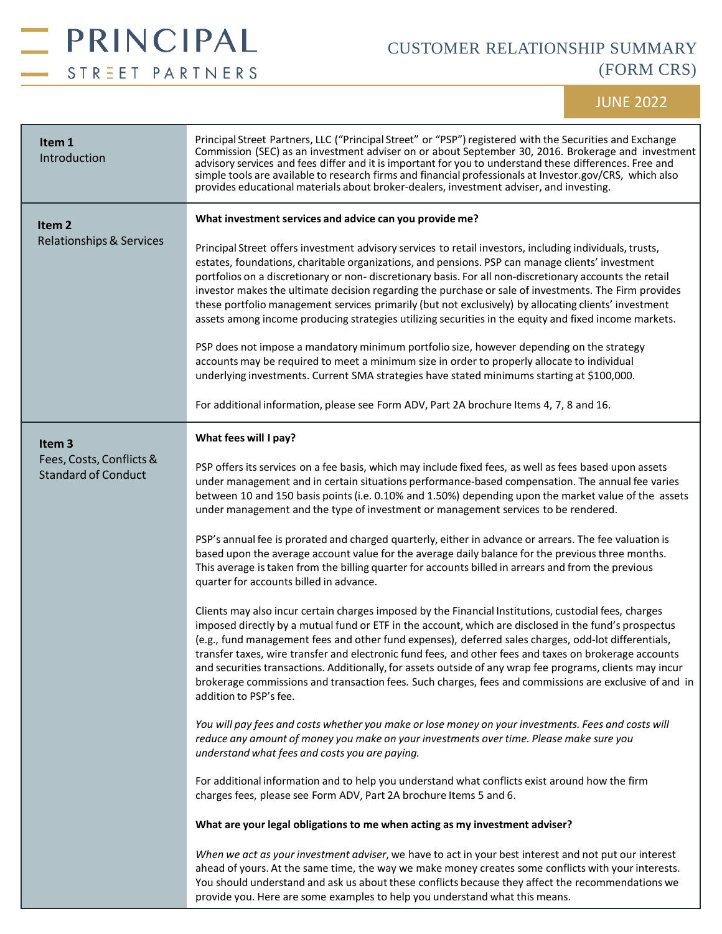

## CUSTOMER RELATIONSHIP SUMMARY (FORM CRS)

## JUNE 2022

| Item 1<br>Introduction                                                      | Principal Street Partners, LLC ("Principal Street" or "PSP") registered with the Securities and Exchange<br>Commission (SEC) as an investment adviser on or about September 30, 2016. Brokerage and investment<br>advisory services and fees differ and it is important for you to understand these differences. Free and<br>simple tools are available to research firms and financial professionals at Investor.gov/CRS, which also<br>provides educational materials about broker-dealers, investment adviser, and investing.                                                                                                                                                                               |
|-----------------------------------------------------------------------------|----------------------------------------------------------------------------------------------------------------------------------------------------------------------------------------------------------------------------------------------------------------------------------------------------------------------------------------------------------------------------------------------------------------------------------------------------------------------------------------------------------------------------------------------------------------------------------------------------------------------------------------------------------------------------------------------------------------|
| Item <sub>2</sub><br><b>Relationships &amp; Services</b>                    | What investment services and advice can you provide me?<br>Principal Street offers investment advisory services to retail investors, including individuals, trusts,<br>estates, foundations, charitable organizations, and pensions. PSP can manage clients' investment<br>portfolios on a discretionary or non- discretionary basis. For all non-discretionary accounts the retail<br>investor makes the ultimate decision regarding the purchase or sale of investments. The Firm provides<br>these portfolio management services primarily (but not exclusively) by allocating clients' investment<br>assets among income producing strategies utilizing securities in the equity and fixed income markets. |
|                                                                             | PSP does not impose a mandatory minimum portfolio size, however depending on the strategy<br>accounts may be required to meet a minimum size in order to properly allocate to individual<br>underlying investments. Current SMA strategies have stated minimums starting at \$100,000.                                                                                                                                                                                                                                                                                                                                                                                                                         |
|                                                                             | For additional information, please see Form ADV, Part 2A brochure Items 4, 7, 8 and 16.                                                                                                                                                                                                                                                                                                                                                                                                                                                                                                                                                                                                                        |
| Item <sub>3</sub><br>Fees, Costs, Conflicts &<br><b>Standard of Conduct</b> | What fees will I pay?<br>PSP offers its services on a fee basis, which may include fixed fees, as well as fees based upon assets<br>under management and in certain situations performance-based compensation. The annual fee varies                                                                                                                                                                                                                                                                                                                                                                                                                                                                           |
|                                                                             | between 10 and 150 basis points (i.e. 0.10% and 1.50%) depending upon the market value of the assets<br>under management and the type of investment or management services to be rendered.<br>PSP's annual fee is prorated and charged quarterly, either in advance or arrears. The fee valuation is                                                                                                                                                                                                                                                                                                                                                                                                           |
|                                                                             | based upon the average account value for the average daily balance for the previous three months.<br>This average is taken from the billing quarter for accounts billed in arrears and from the previous<br>quarter for accounts billed in advance.                                                                                                                                                                                                                                                                                                                                                                                                                                                            |
|                                                                             | Clients may also incur certain charges imposed by the Financial Institutions, custodial fees, charges<br>imposed directly by a mutual fund or ETF in the account, which are disclosed in the fund's prospectus<br>(e.g., fund management fees and other fund expenses), deferred sales charges, odd-lot differentials,<br>transfer taxes, wire transfer and electronic fund fees, and other fees and taxes on brokerage accounts<br>and securities transactions. Additionally, for assets outside of any wrap fee programs, clients may incur<br>brokerage commissions and transaction fees. Such charges, fees and commissions are exclusive of and in<br>addition to PSP's fee.                              |
|                                                                             | You will pay fees and costs whether you make or lose money on your investments. Fees and costs will<br>reduce any amount of money you make on your investments over time. Please make sure you<br>understand what fees and costs you are paying.                                                                                                                                                                                                                                                                                                                                                                                                                                                               |
|                                                                             | For additional information and to help you understand what conflicts exist around how the firm<br>charges fees, please see Form ADV, Part 2A brochure Items 5 and 6.                                                                                                                                                                                                                                                                                                                                                                                                                                                                                                                                           |
|                                                                             | What are your legal obligations to me when acting as my investment adviser?                                                                                                                                                                                                                                                                                                                                                                                                                                                                                                                                                                                                                                    |
|                                                                             | When we act as your investment adviser, we have to act in your best interest and not put our interest<br>ahead of yours. At the same time, the way we make money creates some conflicts with your interests.<br>You should understand and ask us about these conflicts because they affect the recommendations we<br>provide you. Here are some examples to help you understand what this means.                                                                                                                                                                                                                                                                                                               |